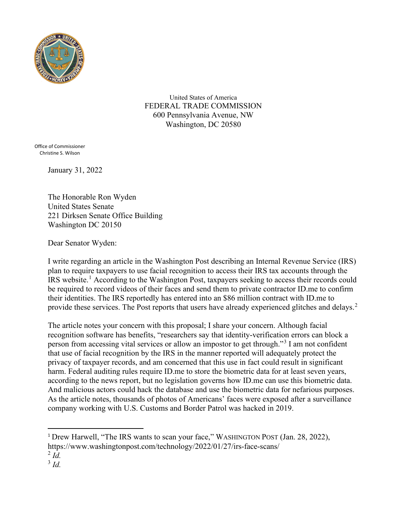

United States of America FEDERAL TRADE COMMISSION 600 Pennsylvania Avenue, NW Washington, DC 20580

Office of Commissioner Christine S. Wilson

January 31, 2022

The Honorable Ron Wyden United States Senate 221 Dirksen Senate Office Building Washington DC 20150

Dear Senator Wyden:

I write regarding an article in the Washington Post describing an Internal Revenue Service (IRS) plan to require taxpayers to use facial recognition to access their IRS tax accounts through the IRS website.[1](#page-0-0) According to the Washington Post, taxpayers seeking to access their records could be required to record videos of their faces and send them to private contractor ID.me to confirm their identities. The IRS reportedly has entered into an \$86 million contract with ID.me to provide these services. The Post reports that users have already experienced glitches and delays.<sup>[2](#page-0-1)</sup>

The article notes your concern with this proposal; I share your concern. Although facial recognition software has benefits, "researchers say that identity-verification errors can block a person from accessing vital services or allow an impostor to get through."[3](#page-0-2) I am not confident that use of facial recognition by the IRS in the manner reported will adequately protect the privacy of taxpayer records, and am concerned that this use in fact could result in significant harm. Federal auditing rules require ID.me to store the biometric data for at least seven years, according to the news report, but no legislation governs how ID.me can use this biometric data. And malicious actors could hack the database and use the biometric data for nefarious purposes. As the article notes, thousands of photos of Americans' faces were exposed after a surveillance company working with U.S. Customs and Border Patrol was hacked in 2019.

<span id="page-0-0"></span><sup>&</sup>lt;sup>1</sup> Drew Harwell, "The IRS wants to scan your face," WASHINGTON POST (Jan. 28, 2022), https://www.washingtonpost.com/technology/2022/01/27/irs-face-scans/

<span id="page-0-1"></span> $^{2}$  *Id.* 

<span id="page-0-2"></span><sup>3</sup> *Id.*